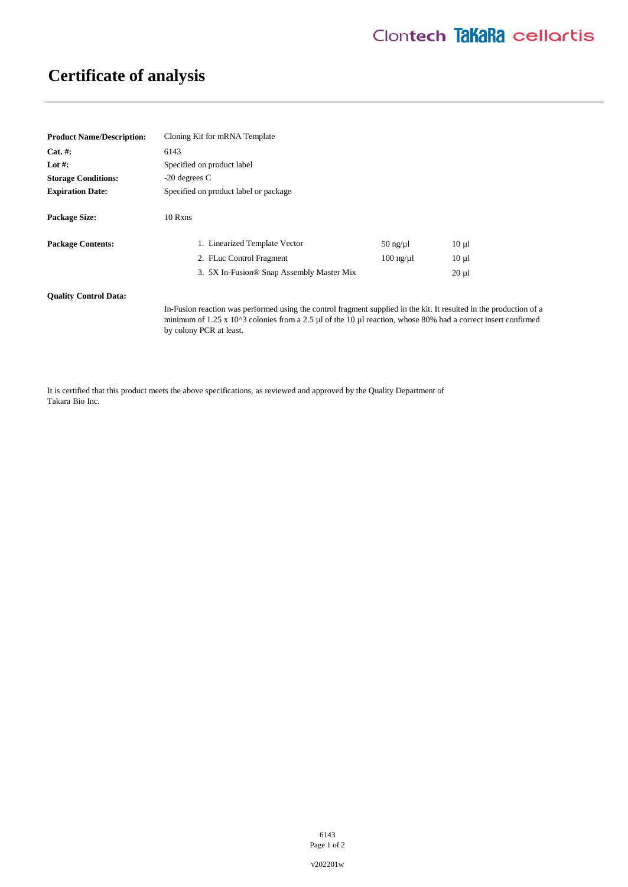## **Certificate of analysis**

| <b>Product Name/Description:</b> | Cloning Kit for mRNA Template                                                                                                                                                                                                                                             |                   |            |
|----------------------------------|---------------------------------------------------------------------------------------------------------------------------------------------------------------------------------------------------------------------------------------------------------------------------|-------------------|------------|
| $Cat. \#:$                       | 6143                                                                                                                                                                                                                                                                      |                   |            |
| Lot #:                           | Specified on product label                                                                                                                                                                                                                                                |                   |            |
| <b>Storage Conditions:</b>       | $-20$ degrees C                                                                                                                                                                                                                                                           |                   |            |
| <b>Expiration Date:</b>          | Specified on product label or package                                                                                                                                                                                                                                     |                   |            |
| <b>Package Size:</b>             | 10 Rxns                                                                                                                                                                                                                                                                   |                   |            |
| <b>Package Contents:</b>         | 1. Linearized Template Vector                                                                                                                                                                                                                                             | $50$ ng/ $\mu$ l  | $10 \mu l$ |
|                                  | 2. FLuc Control Fragment                                                                                                                                                                                                                                                  | $100$ ng/ $\mu$ 1 | $10 \mu l$ |
|                                  | 3. 5X In-Fusion <sup>®</sup> Snap Assembly Master Mix                                                                                                                                                                                                                     |                   | $20 \mu l$ |
| <b>Ouality Control Data:</b>     |                                                                                                                                                                                                                                                                           |                   |            |
|                                  | In-Fusion reaction was performed using the control fragment supplied in the kit. It resulted in the production of a<br>minimum of $1.25 \times 10^{13}$ colonies from a 2.5 µl of the 10 µl reaction, whose 80% had a correct insert confirmed<br>by colony PCR at least. |                   |            |

It is certified that this product meets the above specifications, as reviewed and approved by the Quality Department of Takara Bio Inc.

> 6143 Page 1 of 2

v202201w